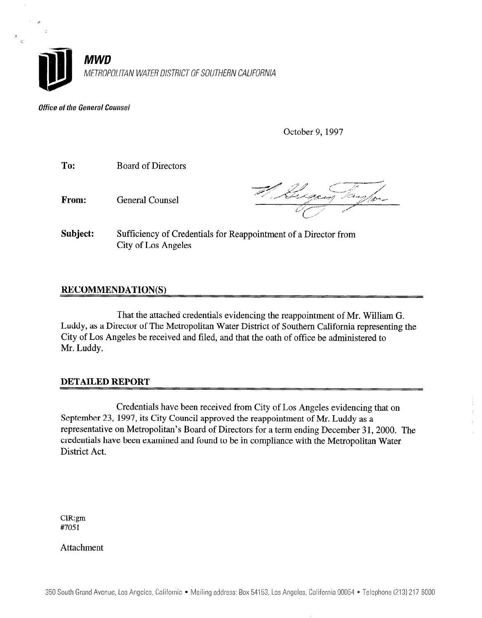

**Office of the General Counsel** 

October 9, 1997

To: Board of Directors

From: General Counsel

 $\hat{\mathbf{r}}$ 

Subject: Sufficiency of Credentials for Reappointment of a Director from City of Los Angeles

## RECOMMENDATION(S)

That the attached credit credentials evidencing the real  $\sigma$  $\Gamma$  Director of The Metropolitan Water District of  $\Gamma$  District of  $\Gamma$  District of  $\Gamma$ City, as a Director of The Metropolitan water District of Douthern Cambridge represent  $\frac{1}{\sqrt{2}}$ 

## DETAILED REPORT

Credentials have been received from City of Los Angeles evidencing that on September 23, 1997, 1997, its City Council approximate the real of Mr. Luddy and Ludwig approved the real Mr. Ludwig and Mr. Ludwig and Mr. Ludwig and Mr. Ludwig and Mr. Ludwig and Mr. Ludwig and Mr. Ludwig and Mr. Ludwig September 23, 1997, its City Council approved the reappointment of Mr. Luddy as a representative on Metropolitan's Board of Directors for a term ending December 31, 2000. The credentials have been examined and found to be in compliance with the Metropolitan Water<br>District Act.

 $CIR:gm$ #7051

Attachment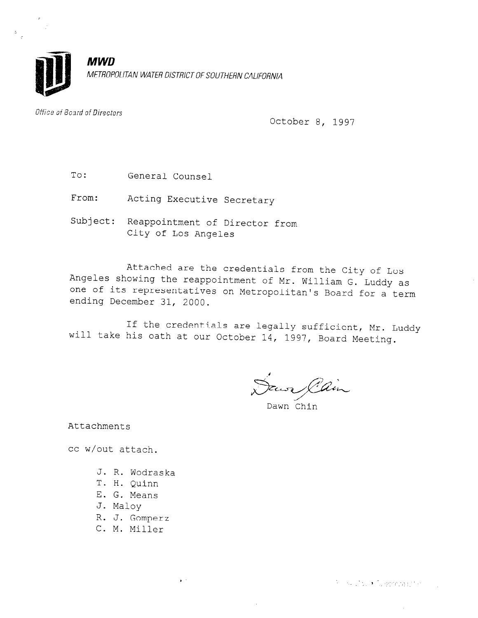

Office of Board of Directors

October 8, 1997

To: General Counsel

From: Acting Executive Secretary

Subject: Reappointment of Director from City of Los Angeles

Attached are the credentials from the City of Los Angeles showing the reappointment of Mr. William G. Luddy as one of its representatives on Metropolitan's Board for a term of the second for a term of  $\alpha$ ending December 31, 2000.

If the credentials are legally sufficient, Mr. Luddy will take his oath at our October 14, 1997, Board Meeting.

Dawn Cain

Attachments

cc w/out attach.

- J. R. Wodraska
- T. H. Quinn
- E. G. Means
- J. Maloy
- R. J. Gomperz

s in

C. M. Miller

**Silversity: • Tulechona (21** milli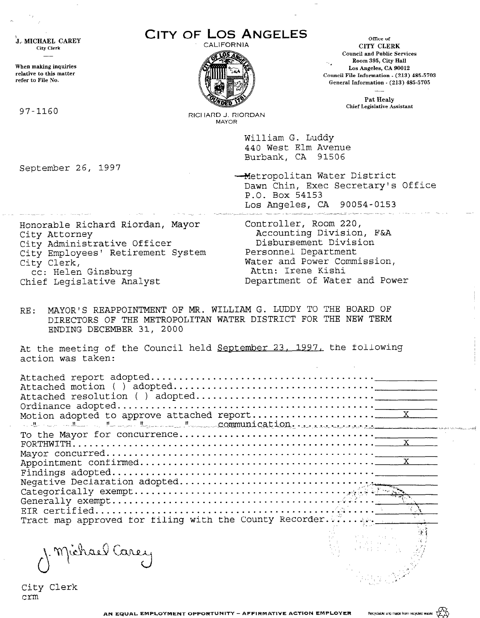| J. MICHAEL CAREY                                                      | CITY OF LOS ANGELES<br>CALIFORNIA  | Office of                                                                                                                      |  |
|-----------------------------------------------------------------------|------------------------------------|--------------------------------------------------------------------------------------------------------------------------------|--|
| <b>City Clerk</b>                                                     |                                    | CITY CLERK<br><b>Council and Public Services</b><br>Room 395, City Hall                                                        |  |
| When making inquiries<br>relative to this matter<br>refer to File No. |                                    | Los Angeles, CA 90012<br>Council File Information - (213) 485-5703<br>General Information - (213) 485-5705                     |  |
|                                                                       |                                    | Pat Healy                                                                                                                      |  |
| 97-1160                                                               | RICHARD J. RIORDAN<br><b>MAYOR</b> | <b>Chief Legislative Assistant</b>                                                                                             |  |
|                                                                       |                                    | William G. Luddy                                                                                                               |  |
|                                                                       |                                    | 440 West Elm Avenue<br>Burbank, CA 91506                                                                                       |  |
| September 26, 1997                                                    |                                    |                                                                                                                                |  |
|                                                                       |                                    | -Metropolitan Water District<br>Dawn Chin, Exec Secretary's Office                                                             |  |
|                                                                       |                                    | P.O. Box 54153                                                                                                                 |  |
|                                                                       |                                    | Los Angeles, CA 90054-0153                                                                                                     |  |
| Honorable Richard Riordan, Mayor                                      |                                    | Controller, Room 220,                                                                                                          |  |
| City Attorney                                                         |                                    | Accounting Division, F&A                                                                                                       |  |
| City Administrative Officer                                           |                                    | Disbursement Division<br>Personnel Department                                                                                  |  |
| City Employees' Retirement System<br>City Clerk,                      |                                    | Water and Power Commission,                                                                                                    |  |
| cc: Helen Ginsburg                                                    |                                    | Attn: Irene Kishi                                                                                                              |  |
| Chief Legislative Analyst                                             |                                    | Department of Water and Power                                                                                                  |  |
| RE:<br>ENDING DECEMBER 31, 2000                                       |                                    | MAYOR'S REAPPOINTMENT OF MR. WILLIAM G. LUDDY TO THE BOARD OF<br>DIRECTORS OF THE METROPOLITAN WATER DISTRICT FOR THE NEW TERM |  |
| action was taken:                                                     |                                    | At the meeting of the Council held September 23, 1997, the following                                                           |  |
|                                                                       |                                    |                                                                                                                                |  |
|                                                                       |                                    |                                                                                                                                |  |
|                                                                       |                                    |                                                                                                                                |  |
|                                                                       |                                    |                                                                                                                                |  |
|                                                                       |                                    | University of the Communication.                                                                                               |  |
|                                                                       |                                    |                                                                                                                                |  |
|                                                                       |                                    |                                                                                                                                |  |
|                                                                       |                                    |                                                                                                                                |  |
|                                                                       |                                    |                                                                                                                                |  |
|                                                                       |                                    |                                                                                                                                |  |
|                                                                       |                                    |                                                                                                                                |  |
|                                                                       |                                    |                                                                                                                                |  |
|                                                                       |                                    | Tract map approved for filing with the County Recorder                                                                         |  |
|                                                                       |                                    |                                                                                                                                |  |
|                                                                       |                                    |                                                                                                                                |  |
| 1. Michael Carey                                                      |                                    |                                                                                                                                |  |
|                                                                       |                                    |                                                                                                                                |  |
|                                                                       |                                    |                                                                                                                                |  |

City Clerk

 $\epsilon_{\rm 20}$ 

 $\mathbb{R}^{\infty}$ Recyclable and made from recycled waste

ŧ

أصفاء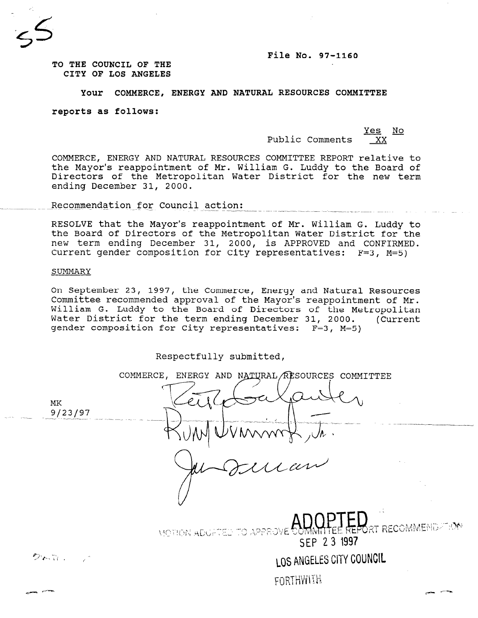#### File No. 97-1160

TO THE COUNCIL OF THE CITY OF LOS ANGELES

#### Your COMMERCE, ENERGY AND NATURAL RESOURCES COMMITTEE

reports as follows:

<u>Yes No</u> Public Comments

LOS ANGELES CITY COUNCIL

FORTHWITH

COMMERCE, ENERGY AND NATURAL RESOURCES COMMITTEE REPORT relative to the Mayor's reappointment of Mr. William G. Luddy to the Board of Directors of the Metropolitan Water District for the new term ending December 31, 2000.

Recommendation for Council action:

RESOLVE that the Mayor's reappointment of Mr. William G. Luddy to the Board of Directors of the Metropolitan Water District for the new term ending December 31, 2000, is APPROVED and CONFIRMED. Current gender composition for City representatives: F=3, M=5)

#### SUMMARY

クトローニア

On September 23, 1997, the Commerce, Energy and Natural Resources Committee recommended approval of the Mayor's reappointment of Mr. William G. Luddy to the Board of Directors of the Metropolitan Water District for the term ending December 31, 2000. (Current gender composition for City representatives: F=3, M=5)

Respectfully submitted,

COMMERCE, ENERGY AND NATURAL RESOURCES COMMITTEE MK g/23/97 **T RECOMMEND** TO APPEOVE **MOTION ADULTED** SEP 23 1997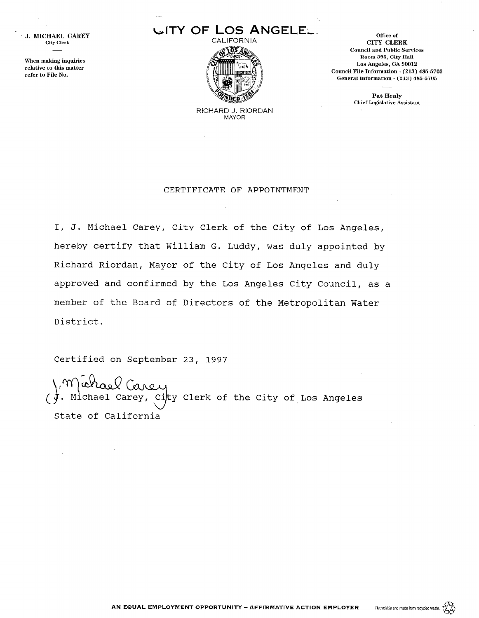J. MICHAEL CAREY City Clerk

When making inquiries relative to this matter refer to File No.

# LITYOF Los ANGELEL



office of CITY CLERK ConnciI and Public Services Room 395, City Hall Los Angeles, CA 90012 Council File Information - (213) 485-5703 General Information - (213) 485-5'705

> Pat Healy Chief Legislative Assistant

RICHARD J. RIORDAN MAYOR

#### CERTIFICATE OF APPOINTMENT

I, J. Michael Carey, City Clerk of the City of Los Angeles, hereby certify that William G. Luddy, was duly appointed by Richard Riordan, Mayor of the City of Los Angeles and duly approved and confirmed by the Los Angeles City Council, as a member of the Board of Directors of the Metropolitan Water District.

Certified on September 23, 1997

J. Michael Ca 7 City Clerk of the City of Los Angeles State of California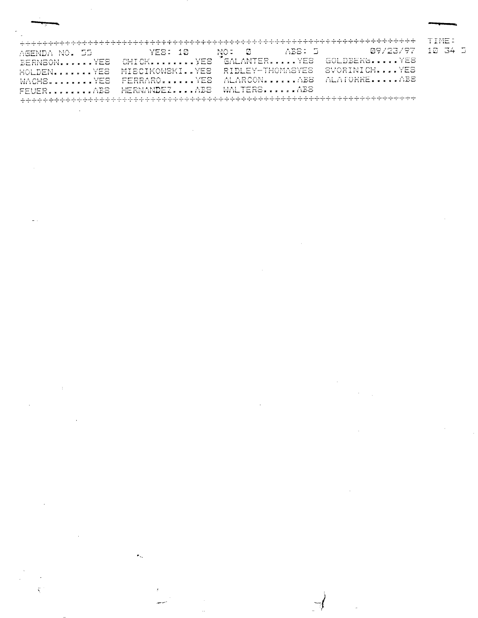|                                                                                                                                                                                                                                                                                                                                                       |                                                                                                                                                                                                                                                                                                                                                                       | 了,你的,你的我的我的我们也不能会不会不会不会不会不会不会不会不会不会不会。""我不会不会不会不会不会不会不会不会不会不会不会不会不会不会不会不会不会<br>ਆ ਸ਼ਾਮਾ ਸ਼ਾਸ ਸਮਰਥਕ ਕਰਕਰ ਕਰਨਾ ਹਨ। ਕਿਰਮਾ ਕਰਨਾ ਹਨ ਕਰਨਾ ਹਨ ਕਰਨਾ ਹਨ ਕਰਨਾ ਕਰਨਾ ਕਰਨਾ ਹਨ। ਕਰਨਾ ਕਰਨਾ ਕਰਨਾ ਹਨ। ਕਰਨਾ                                                                                                                                                                                                                                         | $\sim$ $\sim$ $\sim$ $\sim$ $\sim$<br><b>CALL STATE</b> |
|-------------------------------------------------------------------------------------------------------------------------------------------------------------------------------------------------------------------------------------------------------------------------------------------------------------------------------------------------------|-----------------------------------------------------------------------------------------------------------------------------------------------------------------------------------------------------------------------------------------------------------------------------------------------------------------------------------------------------------------------|----------------------------------------------------------------------------------------------------------------------------------------------------------------------------------------------------------------------------------------------------------------------------------------------------------------------------------------------------------------------------------------------------------------------------------|---------------------------------------------------------|
| $10^{11}$ $10^{11}$<br>ALC: YES<br>a company service<br>$\cdot$ $\cdot$<br>.<br>ب ب<br>11 N W B<br><b>Experiment Model Editor</b>                                                                                                                                                                                                                     | $\mathbf{r}$<br>and the property of the<br>and the state of<br>.<br>and the first con-<br><b>A. Mar</b>                                                                                                                                                                                                                                                               | and a company contract of the process states<br><b>A</b> 77. <i>I</i> 7. A<br>$\sim$<br><b>Selection</b><br><br>$\ddotsc$<br>$$<br>المنافر المتحدث والمتعارض والمتحدث المتناوب<br>المناصب المتعادل<br>$\sim$<br>an sa bailtean<br>$-$                                                                                                                                                                                            | $-1$<br>$-1$ $-2$<br>- خەقق<br>.<br>$\mathbf{r}$        |
| and the start<br>1. 2 pm (m)<br>there are also as a great contact at<br>the company of the control<br>----<br>that were then will seek a charact<br>ACCOUNT OF CHANGE OF REAL PROPERTY.                                                                                                                                                               | signer en<br>-------<br><b>APPEALMENT REPORT OF REAL PROPERTY</b>                                                                                                                                                                                                                                                                                                     | and the content of the content of the content of the content of the content of the content of the content of the<br>and a great contract of<br><b>ALL LOW PRINTS</b><br>$ -$<br>at here were<br>$\sim$ $\sim$ $\sim$<br>comments of the comment of the comment of the comment of the comment of<br>The formal and distinct in the R. H. H. H. H. H. H. H. H. H.<br><b>NATIONAL PROPERTY AND IN THE REAL PROPERTY AND INCOME.</b> |                                                         |
| $\sim$ $\mu$ and $\mu$ and<br>a la concerta de la companhieza de la con-<br>and said word<br>sense as including the<br>The first possibility of the main of the main of the main of the main of the main of the main of the main of the main of the main of the main of the main of the main of the main of the main of the main of the main of the m | the statements of<br>called the services are a control of a service of the<br>----<br>in a complete the state of the state and the complete state of the state of the state of the state of the state of the state of the state of the state of the state of the state of the state of the state of the state of the<br><b>I FALLING AT PROPERTY AT REAL PROPERTY</b> | in the party of the contract of the<br>and a country strike and a strike<br>complete the basis of the South Pro-<br>and the track of the first and<br>$\cdots$<br>sport is been a subject to previous from home<br>And the first state of the first state of the first state of the first state of the first state of the first state of<br>and a string of the state of the first line bank of<br>والشامسة فبعاط الاروا         |                                                         |
| A 2300 PM<br><b>ALL AND LAW</b><br>$    -$<br>contract to the state state.<br><b>THE EXPERIMENT OF REAL PROPERTY.</b>                                                                                                                                                                                                                                 | All alleges and<br>and a set and a set and set of the set of<br>state were state week a to know a re-<br><b>CONTINUES IN STREET BY A REAL PROPERTY AND REAL PROPERTY AND INCOME.</b>                                                                                                                                                                                  | all met avec<br><b>ALCOHOL: YES</b><br>ALCOHOL: ALCOHOL: ALCOHOL: ALCOHOL: ALCOHOL: A<br>t salls a a floridad a car a car a sale tim<br><b>COMMODIATION</b> CONTINUES IN THE RELEASED FOR THE RELEASED FOR THE RELEASED FOR THE RELEASED FOR THE RELEASED FOR THE RELEASED FOR THE RELEASED FOR THE RELEASED FOR THE RELEASED FOR THE RELEASED FOR THE RELEASED FOR THE REL                                                      |                                                         |
| <b>A 75 FS</b><br>and provide a great prop-<br><b>All Property Company</b><br>the same is a state about                                                                                                                                                                                                                                               | a martin<br>I same and the state of the most state of the most of the state of the state of the state of the state of the<br>$\cdots$<br>assessed assistant and a state of the contract of                                                                                                                                                                            | A med and<br><b>TELES COMMUNICATION</b><br>don't be a searched and state<br>WHERE I RELEASED BY REAL RESIDENCE.                                                                                                                                                                                                                                                                                                                  |                                                         |
|                                                                                                                                                                                                                                                                                                                                                       |                                                                                                                                                                                                                                                                                                                                                                       | ਰਾਵਰ ਦਾ ਸ਼ਾਬਰ ਦੇ ਹਨ ਸਿੰਘ ਦੇ ਦੇ ਹਨ ਸਿੰਘ ਸੰਪਰ ਸੰਸਥਾਨ ਸੰਬੰਧ ਸਿੰਘ ਸੰਸਥਾਨ ਸੰਬੰਧ ਸੰਬੰਧ ਸੰਸਥਾਨ ਸਿੰਘ ਸਿੰਘ ਸਿੰਘ ਨੇ ਇੱਕ                                                                                                                                                                                                                                                                                                                    |                                                         |

 $\frac{1}{2}$ 

 $\omega_{\rm{eff}}$  .

¢.

 $\sim 10^{-1}$ 

 $\hat{\mathcal{L}}$  ,  $\hat{\mathcal{L}}$  $\Delta \sim 10^4$  $\sim 10^{-11}$ 

 $\sim$   $\sim$ 

 $\mathcal{L}_{\mathcal{L}}$  $\sim$   $\sim$ 

 $\sim 10^{-10}$ 

 $\sim 10^{-10}$ 

 $\mathcal{A}^{\text{max}}$  $\label{eq:2.1} \frac{1}{\sqrt{2}}\int_{\mathbb{R}^3}\frac{1}{\sqrt{2}}\left(\frac{1}{\sqrt{2}}\right)^2\frac{1}{\sqrt{2}}\left(\frac{1}{\sqrt{2}}\right)^2\frac{1}{\sqrt{2}}\left(\frac{1}{\sqrt{2}}\right)^2\frac{1}{\sqrt{2}}\left(\frac{1}{\sqrt{2}}\right)^2.$  $\label{eq:2.1} \frac{1}{2} \int_{\mathbb{R}^3} \frac{1}{\sqrt{2}} \, \frac{1}{\sqrt{2}} \, \frac{1}{\sqrt{2}} \, \frac{1}{\sqrt{2}} \, \frac{1}{\sqrt{2}} \, \frac{1}{\sqrt{2}} \, \frac{1}{\sqrt{2}} \, \frac{1}{\sqrt{2}} \, \frac{1}{\sqrt{2}} \, \frac{1}{\sqrt{2}} \, \frac{1}{\sqrt{2}} \, \frac{1}{\sqrt{2}} \, \frac{1}{\sqrt{2}} \, \frac{1}{\sqrt{2}} \, \frac{1}{\sqrt{2}} \, \frac{1}{\sqrt{2}} \,$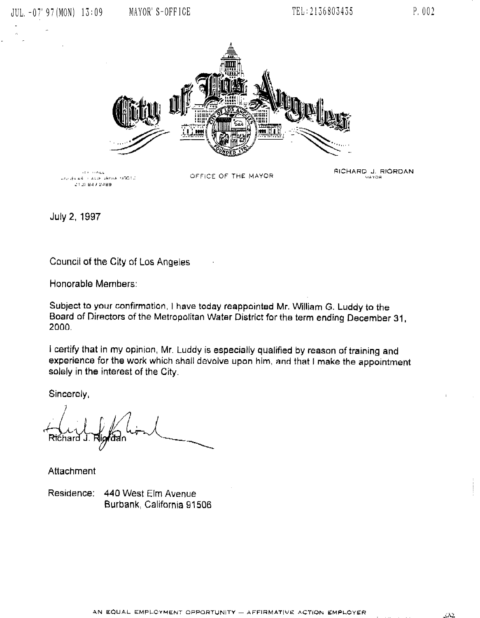



July 2, 1997

Council of the City of Los Angeles

Honorable Members:

Subject to your confirmation, I have today reappointed Mr. William G. Luddy to the Board of Directors of the Metropolitan Water of the Metropolitan Water 21, and December 31, and December 31, and December 31, and December 31, and December 31, and December 31, and December 31, and December 31, and Decembe 2000.<br>2000.

I certify that in my opinian, Mr. Luddy is especially qualified by reason of training and reality maching opinion, which dudy is especially qualified by reason of training and experience for the work which shall devolve upon him, and that I make the appointment solely in the interest of the City.

Sincerely,

Residence: 440 West Elm Avenue<br>Burbank, California 91506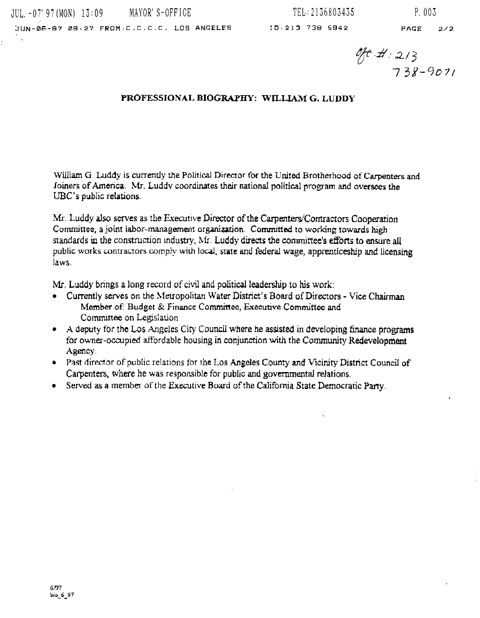$\mathcal{L}$ 

 $\frac{96.4}{738-9071}$ 

### PROFESSIONAL BIOGRAPHY: WILLIAM G. LUDDY

William G. Luddy is currently the Political Director for the United Brotherhood of Carpenters and Joiners of America. Mr. Luddy coordinates their national political program and oversees the UBC's public relations.

Mr. Luddy also serves as the Executive Director of the Carpenters/Contractors Cooperation Committee, a joint labor-management organization. Committed to working towards high standards in the construction industry. Mr. Luddy directs the committee's efforts to ensure all public works contractors comply with local, state and federal wage, apprenticeship and licensing laws.

Mr. Luddy brings a long record of civil and political leadership to his work;

- Currently serves on the Metropolitan Water District's Board of Directors Vice Chairman Member of: Budget & Finance Committee, Executive Committee and Committee on Legislation
- A deputy for the Los Angeles City Council where he assisted in developing finance programs  $\bullet$ for owner-occupied affordable housing in conjunction with the Community Redevelopment Agency.
- Past director of public relations for the Los Angeles County and Vicinity District Council of Carpenters, where he was responsible for public and governmental relations.
- Served as a member of the Executive Board of the California State Democratic Party.